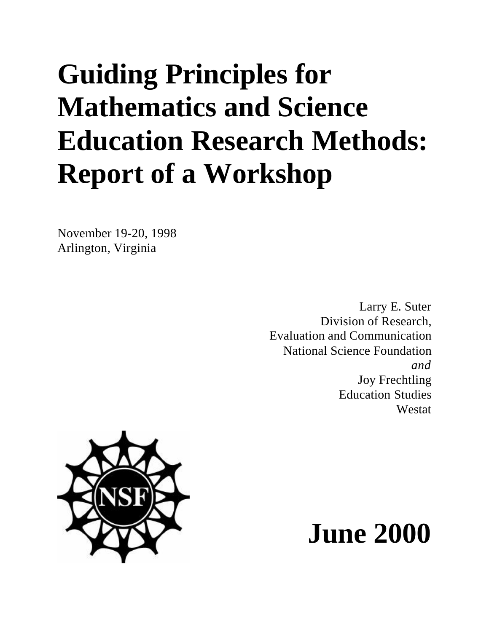# **Guiding Principles for Mathematics and Science Education Research Methods: Report of a Workshop**

November 19-20, 1998 Arlington, Virginia

> Larry E. Suter Division of Research, Evaluation and Communication National Science Foundation *and* Joy Frechtling Education Studies Westat



# **June 2000**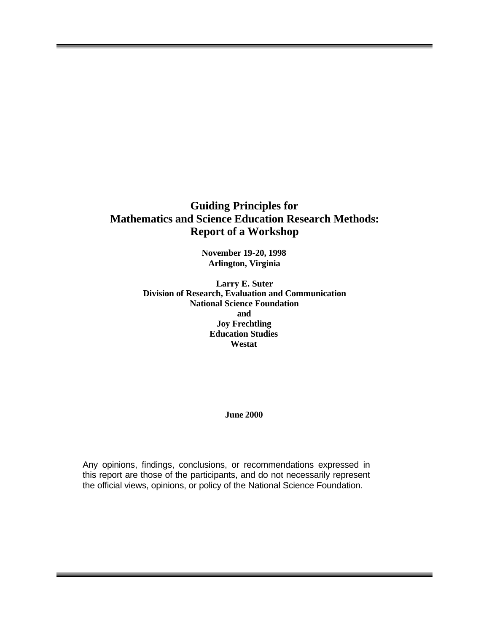# **Guiding Principles for Mathematics and Science Education Research Methods: Report of a Workshop**

**November 19-20, 1998 Arlington, Virginia**

**Larry E. Suter Division of Research, Evaluation and Communication National Science Foundation and Joy Frechtling Education Studies Westat**

**June 2000**

Any opinions, findings, conclusions, or recommendations expressed in this report are those of the participants, and do not necessarily represent the official views, opinions, or policy of the National Science Foundation.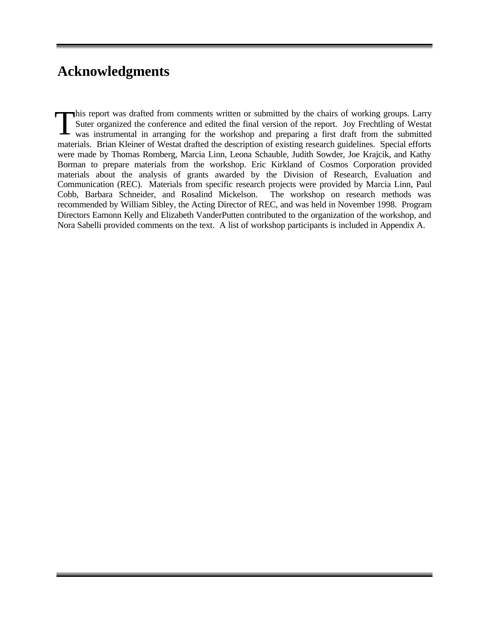# **Acknowledgments**

This report was drafted from comments written or submitted by the chairs of working groups. Larry Suter organized the conference and edited the final version of the report. Joy Frechtling of Westat was instrumental in arranging for the workshop and preparing a first draft from the submitted materials. Brian Kleiner of Westat drafted the description of existing research guidelines. Special efforts were made by Thomas Romberg, Marcia Linn, Leona Schauble, Judith Sowder, Joe Krajcik, and Kathy Borman to prepare materials from the workshop. Eric Kirkland of Cosmos Corporation provided materials about the analysis of grants awarded by the Division of Research, Evaluation and Communication (REC). Materials from specific research projects were provided by Marcia Linn, Paul Cobb, Barbara Schneider, and Rosalind Mickelson. The workshop on research methods was recommended by William Sibley, the Acting Director of REC, and was held in November 1998. Program Directors Eamonn Kelly and Elizabeth VanderPutten contributed to the organization of the workshop, and Nora Sabelli provided comments on the text. A list of workshop participants is included in Appendix A. T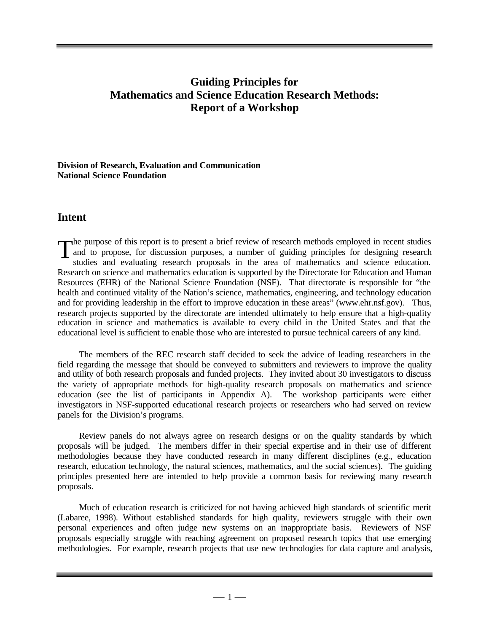# **Guiding Principles for Mathematics and Science Education Research Methods: Report of a Workshop**

#### **Division of Research, Evaluation and Communication National Science Foundation**

## **Intent**

**he purpose** of this report is to present a brief review of research methods employed in recent studies and to propose, for discussion purposes, a number of guiding principles for designing research studies and evaluating research proposals in the area of mathematics and science education. Research on science and mathematics education is supported by the Directorate for Education and Human Resources (EHR) of the National Science Foundation (NSF). That directorate is responsible for "the health and continued vitality of the Nation's science, mathematics, engineering, and technology education and for providing leadership in the effort to improve education in these areas" (www.ehr.nsf.gov). Thus, research projects supported by the directorate are intended ultimately to help ensure that a high-quality education in science and mathematics is available to every child in the United States and that the educational level is sufficient to enable those who are interested to pursue technical careers of any kind. T

The members of the REC research staff decided to seek the advice of leading researchers in the field regarding the message that should be conveyed to submitters and reviewers to improve the quality and utility of both research proposals and funded projects. They invited about 30 investigators to discuss the variety of appropriate methods for high-quality research proposals on mathematics and science education (see the list of participants in Appendix A). The workshop participants were either investigators in NSF-supported educational research projects or researchers who had served on review panels for the Division's programs.

Review panels do not always agree on research designs or on the quality standards by which proposals will be judged. The members differ in their special expertise and in their use of different methodologies because they have conducted research in many different disciplines (e.g., education research, education technology, the natural sciences, mathematics, and the social sciences). The guiding principles presented here are intended to help provide a common basis for reviewing many research proposals.

Much of education research is criticized for not having achieved high standards of scientific merit (Labaree, 1998). Without established standards for high quality, reviewers struggle with their own personal experiences and often judge new systems on an inappropriate basis. Reviewers of NSF proposals especially struggle with reaching agreement on proposed research topics that use emerging methodologies. For example, research projects that use new technologies for data capture and analysis,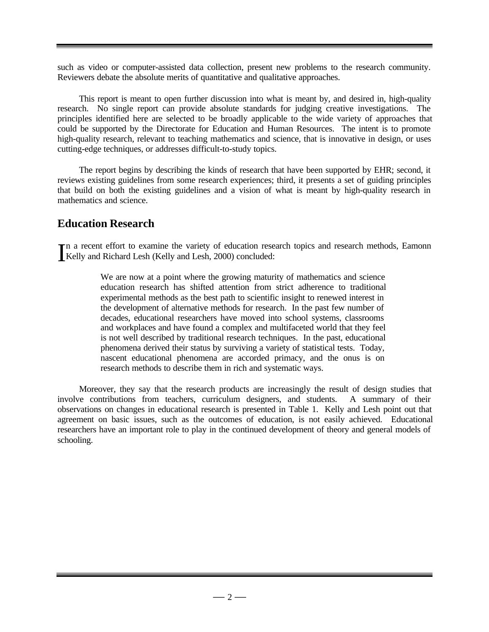such as video or computer-assisted data collection, present new problems to the research community. Reviewers debate the absolute merits of quantitative and qualitative approaches.

This report is meant to open further discussion into what is meant by, and desired in, high-quality research. No single report can provide absolute standards for judging creative investigations. The principles identified here are selected to be broadly applicable to the wide variety of approaches that could be supported by the Directorate for Education and Human Resources. The intent is to promote high-quality research, relevant to teaching mathematics and science, that is innovative in design, or uses cutting-edge techniques, or addresses difficult-to-study topics.

The report begins by describing the kinds of research that have been supported by EHR; second, it reviews existing guidelines from some research experiences; third, it presents a set of guiding principles that build on both the existing guidelines and a vision of what is meant by high-quality research in mathematics and science.

# **Education Research**

n a recent effort to examine the variety of education research topics and research methods, Eamonn In a recent effort to examine the variety of education rese<br>Kelly and Richard Lesh (Kelly and Lesh, 2000) concluded:

> We are now at a point where the growing maturity of mathematics and science education research has shifted attention from strict adherence to traditional experimental methods as the best path to scientific insight to renewed interest in the development of alternative methods for research. In the past few number of decades, educational researchers have moved into school systems, classrooms and workplaces and have found a complex and multifaceted world that they feel is not well described by traditional research techniques. In the past, educational phenomena derived their status by surviving a variety of statistical tests. Today, nascent educational phenomena are accorded primacy, and the onus is on research methods to describe them in rich and systematic ways.

Moreover, they say that the research products are increasingly the result of design studies that involve contributions from teachers, curriculum designers, and students. A summary of their observations on changes in educational research is presented in Table 1. Kelly and Lesh point out that agreement on basic issues, such as the outcomes of education, is not easily achieved. Educational researchers have an important role to play in the continued development of theory and general models of schooling.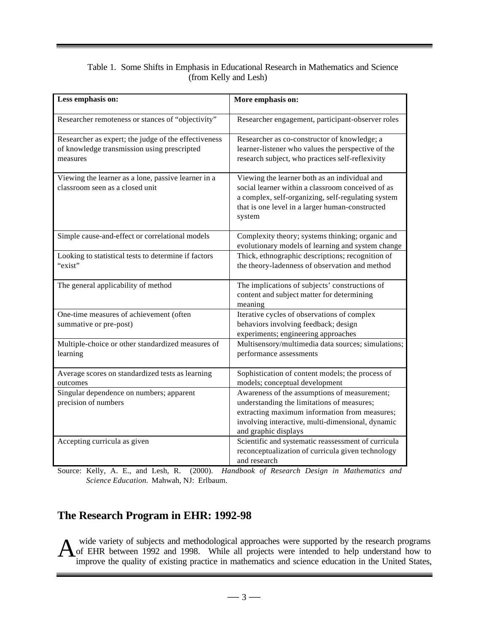## Table 1. Some Shifts in Emphasis in Educational Research in Mathematics and Science (from Kelly and Lesh)

| Less emphasis on:                                                                                               | More emphasis on:                                                                                                                                                                                                        |
|-----------------------------------------------------------------------------------------------------------------|--------------------------------------------------------------------------------------------------------------------------------------------------------------------------------------------------------------------------|
| Researcher remoteness or stances of "objectivity"                                                               | Researcher engagement, participant-observer roles                                                                                                                                                                        |
| Researcher as expert; the judge of the effectiveness<br>of knowledge transmission using prescripted<br>measures | Researcher as co-constructor of knowledge; a<br>learner-listener who values the perspective of the<br>research subject, who practices self-reflexivity                                                                   |
| Viewing the learner as a lone, passive learner in a<br>classroom seen as a closed unit                          | Viewing the learner both as an individual and<br>social learner within a classroom conceived of as<br>a complex, self-organizing, self-regulating system<br>that is one level in a larger human-constructed<br>system    |
| Simple cause-and-effect or correlational models                                                                 | Complexity theory; systems thinking; organic and<br>evolutionary models of learning and system change                                                                                                                    |
| Looking to statistical tests to determine if factors<br>"exist"                                                 | Thick, ethnographic descriptions; recognition of<br>the theory-ladenness of observation and method                                                                                                                       |
| The general applicability of method                                                                             | The implications of subjects' constructions of<br>content and subject matter for determining<br>meaning                                                                                                                  |
| One-time measures of achievement (often<br>summative or pre-post)                                               | Iterative cycles of observations of complex<br>behaviors involving feedback; design<br>experiments; engineering approaches                                                                                               |
| Multiple-choice or other standardized measures of<br>learning                                                   | Multisensory/multimedia data sources; simulations;<br>performance assessments                                                                                                                                            |
| Average scores on standardized tests as learning<br>outcomes                                                    | Sophistication of content models; the process of<br>models; conceptual development                                                                                                                                       |
| Singular dependence on numbers; apparent<br>precision of numbers                                                | Awareness of the assumptions of measurement;<br>understanding the limitations of measures;<br>extracting maximum information from measures;<br>involving interactive, multi-dimensional, dynamic<br>and graphic displays |
| Accepting curricula as given                                                                                    | Scientific and systematic reassessment of curricula<br>reconceptualization of curricula given technology<br>and research                                                                                                 |

Source: Kelly, A. E., and Lesh, R. (2000). *Handbook of Research Design in Mathematics and Science Education.* Mahwah, NJ: Erlbaum.

# **The Research Program in EHR: 1992-98**

 wide variety of subjects and methodological approaches were supported by the research programs A of EHR between 1992 and 1998. While all projects were intended to help understand how to improve the quality of existing practice in mathematics and science education in the United States,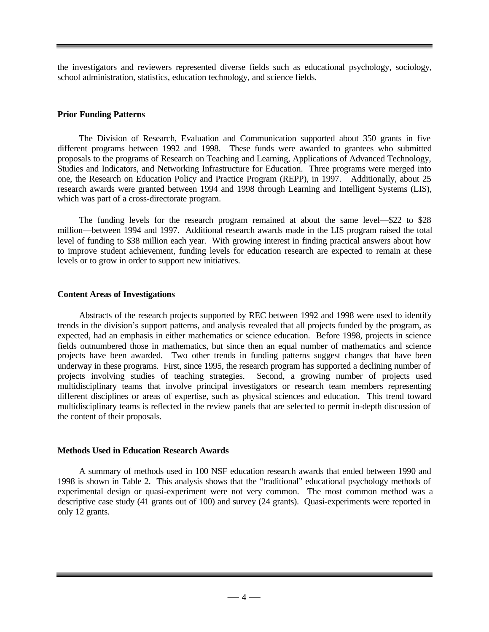the investigators and reviewers represented diverse fields such as educational psychology, sociology, school administration, statistics, education technology, and science fields.

#### **Prior Funding Patterns**

The Division of Research, Evaluation and Communication supported about 350 grants in five different programs between 1992 and 1998. These funds were awarded to grantees who submitted proposals to the programs of Research on Teaching and Learning, Applications of Advanced Technology, Studies and Indicators, and Networking Infrastructure for Education. Three programs were merged into one, the Research on Education Policy and Practice Program (REPP), in 1997. Additionally, about 25 research awards were granted between 1994 and 1998 through Learning and Intelligent Systems (LIS), which was part of a cross-directorate program.

The funding levels for the research program remained at about the same level—\$22 to \$28 million—between 1994 and 1997. Additional research awards made in the LIS program raised the total level of funding to \$38 million each year. With growing interest in finding practical answers about how to improve student achievement, funding levels for education research are expected to remain at these levels or to grow in order to support new initiatives.

#### **Content Areas of Investigations**

Abstracts of the research projects supported by REC between 1992 and 1998 were used to identify trends in the division's support patterns, and analysis revealed that all projects funded by the program, as expected, had an emphasis in either mathematics or science education. Before 1998, projects in science fields outnumbered those in mathematics, but since then an equal number of mathematics and science projects have been awarded. Two other trends in funding patterns suggest changes that have been underway in these programs. First, since 1995, the research program has supported a declining number of projects involving studies of teaching strategies. Second, a growing number of projects used multidisciplinary teams that involve principal investigators or research team members representing different disciplines or areas of expertise, such as physical sciences and education. This trend toward multidisciplinary teams is reflected in the review panels that are selected to permit in-depth discussion of the content of their proposals.

#### **Methods Used in Education Research Awards**

A summary of methods used in 100 NSF education research awards that ended between 1990 and 1998 is shown in Table 2. This analysis shows that the "traditional" educational psychology methods of experimental design or quasi-experiment were not very common. The most common method was a descriptive case study (41 grants out of 100) and survey (24 grants). Quasi-experiments were reported in only 12 grants.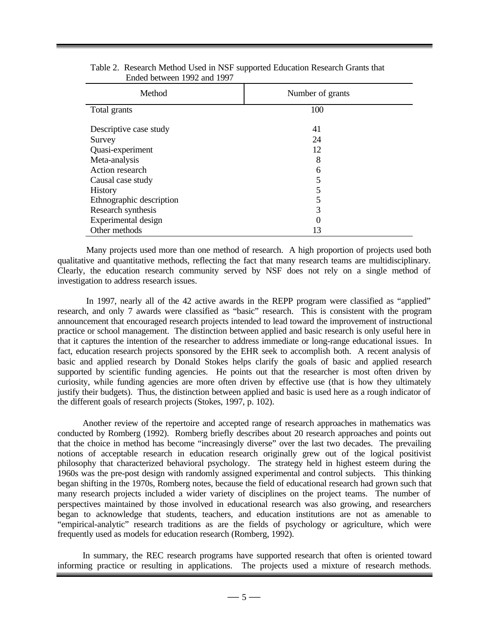| Method                   | Number of grants |
|--------------------------|------------------|
| Total grants             | 100              |
| Descriptive case study   | 41               |
| Survey                   | 24               |
| Quasi-experiment         | 12               |
| Meta-analysis            | 8                |
| Action research          | 6                |
| Causal case study        | 5                |
| <b>History</b>           | 5                |
| Ethnographic description | 5                |
| Research synthesis       | 3                |
| Experimental design      | 0                |
| Other methods            | 13               |

Table 2. Research Method Used in NSF supported Education Research Grants that Ended between 1992 and 1997

Many projects used more than one method of research. A high proportion of projects used both qualitative and quantitative methods, reflecting the fact that many research teams are multidisciplinary. Clearly, the education research community served by NSF does not rely on a single method of investigation to address research issues.

In 1997, nearly all of the 42 active awards in the REPP program were classified as "applied" research, and only 7 awards were classified as "basic" research. This is consistent with the program announcement that encouraged research projects intended to lead toward the improvement of instructional practice or school management. The distinction between applied and basic research is only useful here in that it captures the intention of the researcher to address immediate or long-range educational issues. In fact, education research projects sponsored by the EHR seek to accomplish both. A recent analysis of basic and applied research by Donald Stokes helps clarify the goals of basic and applied research supported by scientific funding agencies. He points out that the researcher is most often driven by curiosity, while funding agencies are more often driven by effective use (that is how they ultimately justify their budgets). Thus, the distinction between applied and basic is used here as a rough indicator of the different goals of research projects (Stokes, 1997, p. 102).

Another review of the repertoire and accepted range of research approaches in mathematics was conducted by Romberg (1992). Romberg briefly describes about 20 research approaches and points out that the choice in method has become "increasingly diverse" over the last two decades. The prevailing notions of acceptable research in education research originally grew out of the logical positivist philosophy that characterized behavioral psychology. The strategy held in highest esteem during the 1960s was the pre-post design with randomly assigned experimental and control subjects. This thinking began shifting in the 1970s, Romberg notes, because the field of educational research had grown such that many research projects included a wider variety of disciplines on the project teams. The number of perspectives maintained by those involved in educational research was also growing, and researchers began to acknowledge that students, teachers, and education institutions are not as amenable to "empirical-analytic" research traditions as are the fields of psychology or agriculture, which were frequently used as models for education research (Romberg, 1992).

In summary, the REC research programs have supported research that often is oriented toward informing practice or resulting in applications. The projects used a mixture of research methods.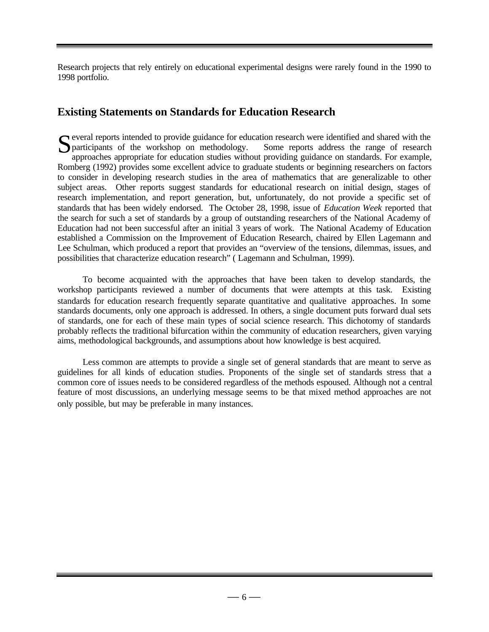Research projects that rely entirely on educational experimental designs were rarely found in the 1990 to 1998 portfolio.

# **Existing Statements on Standards for Education Research**

everal reports intended to provide guidance for education research were identified and shared with the Several reports intended to provide guidance for education research were identified and shared with the participants of the workshop on methodology. Some reports address the range of research approaches appropriate for edu approaches appropriate for education studies without providing guidance on standards. For example, Romberg (1992) provides some excellent advice to graduate students or beginning researchers on factors to consider in developing research studies in the area of mathematics that are generalizable to other subject areas. Other reports suggest standards for educational research on initial design, stages of research implementation, and report generation, but, unfortunately, do not provide a specific set of standards that has been widely endorsed. The October 28, 1998, issue of *Education Week* reported that the search for such a set of standards by a group of outstanding researchers of the National Academy of Education had not been successful after an initial 3 years of work. The National Academy of Education established a Commission on the Improvement of Education Research, chaired by Ellen Lagemann and Lee Schulman, which produced a report that provides an "overview of the tensions, dilemmas, issues, and possibilities that characterize education research" ( Lagemann and Schulman, 1999).

To become acquainted with the approaches that have been taken to develop standards, the workshop participants reviewed a number of documents that were attempts at this task. Existing standards for education research frequently separate quantitative and qualitative approaches. In some standards documents, only one approach is addressed. In others, a single document puts forward dual sets of standards, one for each of these main types of social science research. This dichotomy of standards probably reflects the traditional bifurcation within the community of education researchers, given varying aims, methodological backgrounds, and assumptions about how knowledge is best acquired.

Less common are attempts to provide a single set of general standards that are meant to serve as guidelines for all kinds of education studies. Proponents of the single set of standards stress that a common core of issues needs to be considered regardless of the methods espoused. Although not a central feature of most discussions, an underlying message seems to be that mixed method approaches are not only possible, but may be preferable in many instances.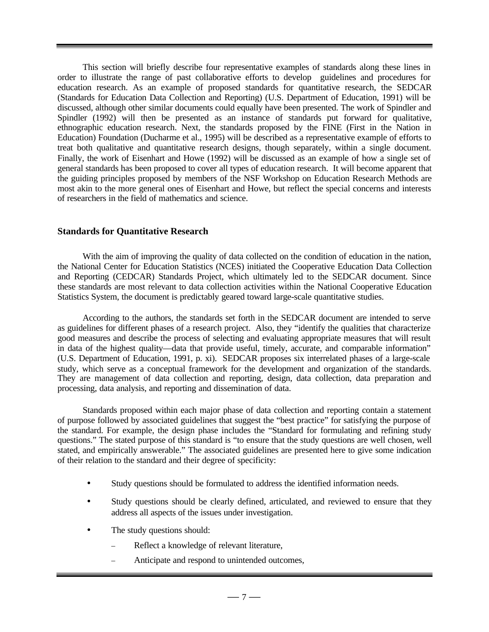This section will briefly describe four representative examples of standards along these lines in order to illustrate the range of past collaborative efforts to develop guidelines and procedures for education research. As an example of proposed standards for quantitative research, the SEDCAR (Standards for Education Data Collection and Reporting) (U.S. Department of Education, 1991) will be discussed, although other similar documents could equally have been presented. The work of Spindler and Spindler (1992) will then be presented as an instance of standards put forward for qualitative, ethnographic education research. Next, the standards proposed by the FINE (First in the Nation in Education) Foundation (Ducharme et al., 1995) will be described as a representative example of efforts to treat both qualitative and quantitative research designs, though separately, within a single document. Finally, the work of Eisenhart and Howe (1992) will be discussed as an example of how a single set of general standards has been proposed to cover all types of education research. It will become apparent that the guiding principles proposed by members of the NSF Workshop on Education Research Methods are most akin to the more general ones of Eisenhart and Howe, but reflect the special concerns and interests of researchers in the field of mathematics and science.

#### **Standards for Quantitative Research**

With the aim of improving the quality of data collected on the condition of education in the nation, the National Center for Education Statistics (NCES) initiated the Cooperative Education Data Collection and Reporting (CEDCAR) Standards Project, which ultimately led to the SEDCAR document. Since these standards are most relevant to data collection activities within the National Cooperative Education Statistics System, the document is predictably geared toward large-scale quantitative studies.

According to the authors, the standards set forth in the SEDCAR document are intended to serve as guidelines for different phases of a research project. Also, they "identify the qualities that characterize good measures and describe the process of selecting and evaluating appropriate measures that will result in data of the highest quality—data that provide useful, timely, accurate, and comparable information" (U.S. Department of Education, 1991, p. xi). SEDCAR proposes six interrelated phases of a large-scale study, which serve as a conceptual framework for the development and organization of the standards. They are management of data collection and reporting, design, data collection, data preparation and processing, data analysis, and reporting and dissemination of data.

Standards proposed within each major phase of data collection and reporting contain a statement of purpose followed by associated guidelines that suggest the "best practice" for satisfying the purpose of the standard. For example, the design phase includes the "Standard for formulating and refining study questions." The stated purpose of this standard is "to ensure that the study questions are well chosen, well stated, and empirically answerable." The associated guidelines are presented here to give some indication of their relation to the standard and their degree of specificity:

- Study questions should be formulated to address the identified information needs.
- Study questions should be clearly defined, articulated, and reviewed to ensure that they address all aspects of the issues under investigation.
- The study questions should:
	- Reflect a knowledge of relevant literature,
	- Anticipate and respond to unintended outcomes,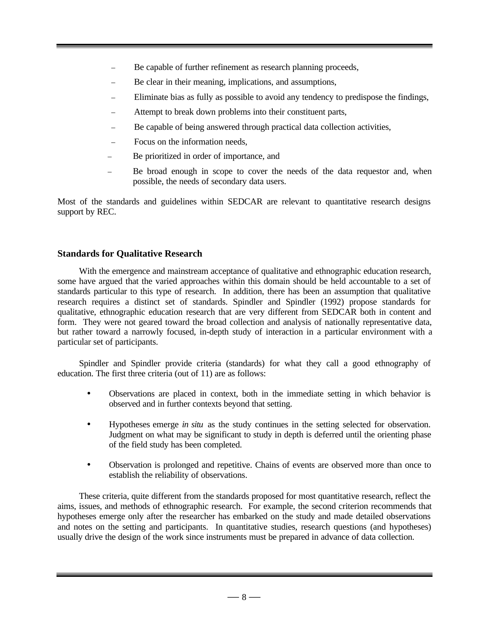- Be capable of further refinement as research planning proceeds,
- Be clear in their meaning, implications, and assumptions,
- Eliminate bias as fully as possible to avoid any tendency to predispose the findings,
- Attempt to break down problems into their constituent parts,
- Be capable of being answered through practical data collection activities,
- Focus on the information needs,
- Be prioritized in order of importance, and
- Be broad enough in scope to cover the needs of the data requestor and, when possible, the needs of secondary data users.

Most of the standards and guidelines within SEDCAR are relevant to quantitative research designs support by REC.

## **Standards for Qualitative Research**

With the emergence and mainstream acceptance of qualitative and ethnographic education research, some have argued that the varied approaches within this domain should be held accountable to a set of standards particular to this type of research. In addition, there has been an assumption that qualitative research requires a distinct set of standards. Spindler and Spindler (1992) propose standards for qualitative, ethnographic education research that are very different from SEDCAR both in content and form. They were not geared toward the broad collection and analysis of nationally representative data, but rather toward a narrowly focused, in-depth study of interaction in a particular environment with a particular set of participants.

Spindler and Spindler provide criteria (standards) for what they call a good ethnography of education. The first three criteria (out of 11) are as follows:

- Observations are placed in context, both in the immediate setting in which behavior is observed and in further contexts beyond that setting.
- Hypotheses emerge *in situ* as the study continues in the setting selected for observation. Judgment on what may be significant to study in depth is deferred until the orienting phase of the field study has been completed.
- Observation is prolonged and repetitive. Chains of events are observed more than once to establish the reliability of observations.

These criteria, quite different from the standards proposed for most quantitative research, reflect the aims, issues, and methods of ethnographic research. For example, the second criterion recommends that hypotheses emerge only after the researcher has embarked on the study and made detailed observations and notes on the setting and participants. In quantitative studies, research questions (and hypotheses) usually drive the design of the work since instruments must be prepared in advance of data collection.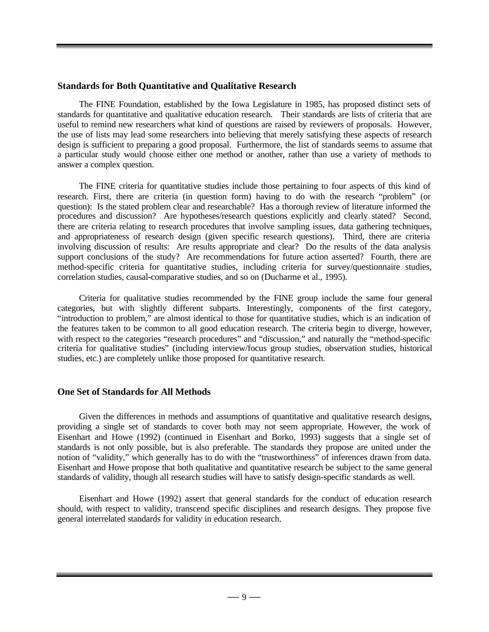#### **Standards for Both Quantitative and Qualitative Research**

The FINE Foundation, established by the Iowa Legislature in 1985, has proposed distinct sets of standards for quantitative and qualitative education research. Their standards are lists of criteria that are useful to remind new researchers what kind of questions are raised by reviewers of proposals. However, the use of lists may lead some researchers into believing that merely satisfying these aspects of research design is sufficient to preparing a good proposal. Furthermore, the list of standards seems to assume that a particular study would choose either one method or another, rather than use a variety of methods to answer a complex question.

The FINE criteria for quantitative studies include those pertaining to four aspects of this kind of research. First, there are criteria (in question form) having to do with the research "problem" (or question): Is the stated problem clear and researchable? Has a thorough review of literature informed the procedures and discussion? Are hypotheses/research questions explicitly and clearly stated? Second, there are criteria relating to research procedures that involve sampling issues, data gathering techniques, and appropriateness of research design (given specific research questions). Third, there are criteria involving discussion of results: Are results appropriate and clear? Do the results of the data analysis support conclusions of the study? Are recommendations for future action asserted? Fourth, there are method-specific criteria for quantitative studies, including criteria for survey/questionnaire studies, correlation studies, causal-comparative studies, and so on (Ducharme et al., 1995).

Criteria for qualitative studies recommended by the FINE group include the same four general categories, but with slightly different subparts. Interestingly, components of the first category, "introduction to problem," are almost identical to those for quantitative studies, which is an indication of the features taken to be common to all good education research. The criteria begin to diverge, however, with respect to the categories "research procedures" and "discussion," and naturally the "method-specific criteria for qualitative studies" (including interview/focus group studies, observation studies, historical studies, etc.) are completely unlike those proposed for quantitative research.

#### **One Set of Standards for All Methods**

Given the differences in methods and assumptions of quantitative and qualitative research designs, providing a single set of standards to cover both may not seem appropriate. However, the work of Eisenhart and Howe (1992) (continued in Eisenhart and Borko, 1993) suggests that a single set of standards is not only possible, but is also preferable. The standards they propose are united under the notion of "validity," which generally has to do with the "trustworthiness" of inferences drawn from data. Eisenhart and Howe propose that both qualitative and quantitative research be subject to the same general standards of validity, though all research studies will have to satisfy design-specific standards as well.

Eisenhart and Howe (1992) assert that general standards for the conduct of education research should, with respect to validity, transcend specific disciplines and research designs. They propose five general interrelated standards for validity in education research.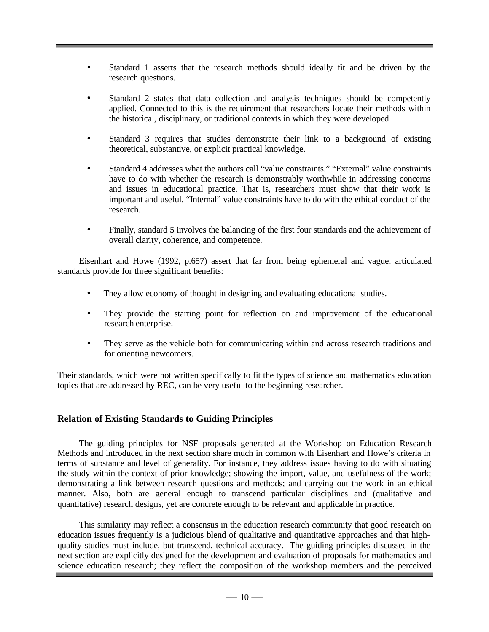- Standard 1 asserts that the research methods should ideally fit and be driven by the research questions.
- Standard 2 states that data collection and analysis techniques should be competently applied. Connected to this is the requirement that researchers locate their methods within the historical, disciplinary, or traditional contexts in which they were developed.
- Standard 3 requires that studies demonstrate their link to a background of existing theoretical, substantive, or explicit practical knowledge.
- Standard 4 addresses what the authors call "value constraints." "External" value constraints have to do with whether the research is demonstrably worthwhile in addressing concerns and issues in educational practice. That is, researchers must show that their work is important and useful. "Internal" value constraints have to do with the ethical conduct of the research.
- Finally, standard 5 involves the balancing of the first four standards and the achievement of overall clarity, coherence, and competence.

Eisenhart and Howe (1992, p.657) assert that far from being ephemeral and vague, articulated standards provide for three significant benefits:

- They allow economy of thought in designing and evaluating educational studies.
- They provide the starting point for reflection on and improvement of the educational research enterprise.
- They serve as the vehicle both for communicating within and across research traditions and for orienting newcomers.

Their standards, which were not written specifically to fit the types of science and mathematics education topics that are addressed by REC, can be very useful to the beginning researcher.

#### **Relation of Existing Standards to Guiding Principles**

The guiding principles for NSF proposals generated at the Workshop on Education Research Methods and introduced in the next section share much in common with Eisenhart and Howe's criteria in terms of substance and level of generality. For instance, they address issues having to do with situating the study within the context of prior knowledge; showing the import, value, and usefulness of the work; demonstrating a link between research questions and methods; and carrying out the work in an ethical manner. Also, both are general enough to transcend particular disciplines and (qualitative and quantitative) research designs, yet are concrete enough to be relevant and applicable in practice.

This similarity may reflect a consensus in the education research community that good research on education issues frequently is a judicious blend of qualitative and quantitative approaches and that highquality studies must include, but transcend, technical accuracy. The guiding principles discussed in the next section are explicitly designed for the development and evaluation of proposals for mathematics and science education research; they reflect the composition of the workshop members and the perceived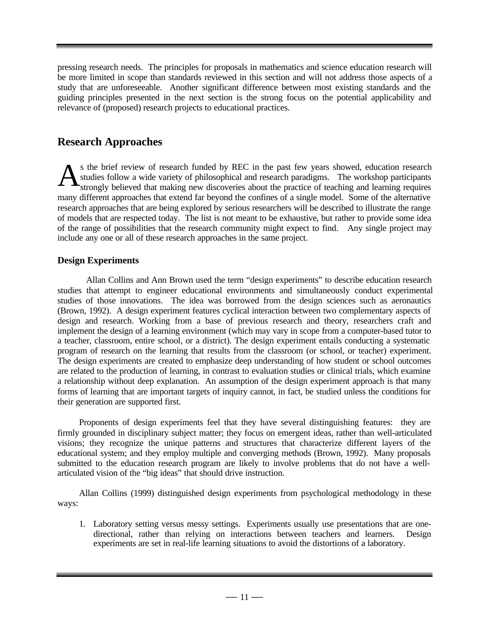pressing research needs. The principles for proposals in mathematics and science education research will be more limited in scope than standards reviewed in this section and will not address those aspects of a study that are unforeseeable. Another significant difference between most existing standards and the guiding principles presented in the next section is the strong focus on the potential applicability and relevance of (proposed) research projects to educational practices.

# **Research Approaches**

s the brief review of research funded by REC in the past few years showed, education research studies follow a wide variety of philosophical and research paradigms. The workshop participants strongly believed that making new discoveries about the practice of teaching and learning requires many different approaches that extend far beyond the confines of a single model. Some of the alternative research approaches that are being explored by serious researchers will be described to illustrate the range of models that are respected today. The list is not meant to be exhaustive, but rather to provide some idea of the range of possibilities that the research community might expect to find. Any single project may include any one or all of these research approaches in the same project. A

## **Design Experiments**

Allan Collins and Ann Brown used the term "design experiments" to describe education research studies that attempt to engineer educational environments and simultaneously conduct experimental studies of those innovations. The idea was borrowed from the design sciences such as aeronautics (Brown, 1992). A design experiment features cyclical interaction between two complementary aspects of design and research. Working from a base of previous research and theory, researchers craft and implement the design of a learning environment (which may vary in scope from a computer-based tutor to a teacher, classroom, entire school, or a district). The design experiment entails conducting a systematic program of research on the learning that results from the classroom (or school, or teacher) experiment. The design experiments are created to emphasize deep understanding of how student or school outcomes are related to the production of learning, in contrast to evaluation studies or clinical trials, which examine a relationship without deep explanation. An assumption of the design experiment approach is that many forms of learning that are important targets of inquiry cannot, in fact, be studied unless the conditions for their generation are supported first.

Proponents of design experiments feel that they have several distinguishing features: they are firmly grounded in disciplinary subject matter; they focus on emergent ideas, rather than well-articulated visions; they recognize the unique patterns and structures that characterize different layers of the educational system; and they employ multiple and converging methods (Brown, 1992). Many proposals submitted to the education research program are likely to involve problems that do not have a wellarticulated vision of the "big ideas" that should drive instruction.

Allan Collins (1999) distinguished design experiments from psychological methodology in these ways:

1. Laboratory setting versus messy settings. Experiments usually use presentations that are onedirectional, rather than relying on interactions between teachers and learners. Design experiments are set in real-life learning situations to avoid the distortions of a laboratory.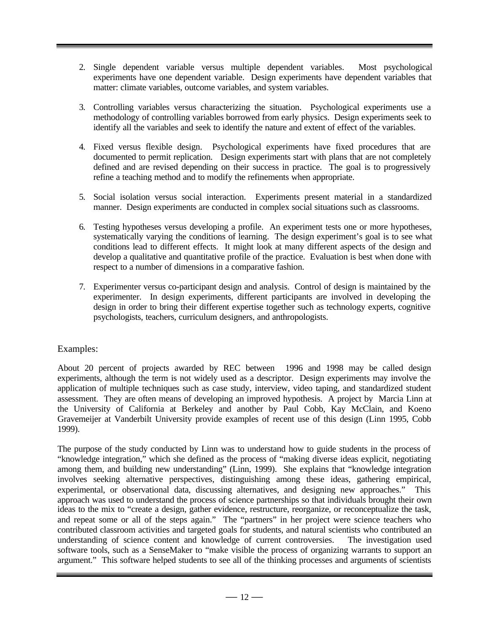- 2. Single dependent variable versus multiple dependent variables. Most psychological experiments have one dependent variable. Design experiments have dependent variables that matter: climate variables, outcome variables, and system variables.
- 3. Controlling variables versus characterizing the situation. Psychological experiments use a methodology of controlling variables borrowed from early physics. Design experiments seek to identify all the variables and seek to identify the nature and extent of effect of the variables.
- 4. Fixed versus flexible design. Psychological experiments have fixed procedures that are documented to permit replication. Design experiments start with plans that are not completely defined and are revised depending on their success in practice. The goal is to progressively refine a teaching method and to modify the refinements when appropriate.
- 5. Social isolation versus social interaction. Experiments present material in a standardized manner. Design experiments are conducted in complex social situations such as classrooms.
- 6. Testing hypotheses versus developing a profile. An experiment tests one or more hypotheses, systematically varying the conditions of learning. The design experiment's goal is to see what conditions lead to different effects. It might look at many different aspects of the design and develop a qualitative and quantitative profile of the practice. Evaluation is best when done with respect to a number of dimensions in a comparative fashion.
- 7. Experimenter versus co-participant design and analysis. Control of design is maintained by the experimenter. In design experiments, different participants are involved in developing the design in order to bring their different expertise together such as technology experts, cognitive psychologists, teachers, curriculum designers, and anthropologists.

#### Examples:

About 20 percent of projects awarded by REC between 1996 and 1998 may be called design experiments, although the term is not widely used as a descriptor. Design experiments may involve the application of multiple techniques such as case study, interview, video taping, and standardized student assessment. They are often means of developing an improved hypothesis. A project by Marcia Linn at the University of California at Berkeley and another by Paul Cobb, Kay McClain, and Koeno Gravemeijer at Vanderbilt University provide examples of recent use of this design (Linn 1995, Cobb 1999).

The purpose of the study conducted by Linn was to understand how to guide students in the process of "knowledge integration," which she defined as the process of "making diverse ideas explicit, negotiating among them, and building new understanding" (Linn, 1999). She explains that "knowledge integration involves seeking alternative perspectives, distinguishing among these ideas, gathering empirical, experimental, or observational data, discussing alternatives, and designing new approaches." This approach was used to understand the process of science partnerships so that individuals brought their own ideas to the mix to "create a design, gather evidence, restructure, reorganize, or reconceptualize the task, and repeat some or all of the steps again." The "partners" in her project were science teachers who contributed classroom activities and targeted goals for students, and natural scientists who contributed an understanding of science content and knowledge of current controversies. The investigation used software tools, such as a SenseMaker to "make visible the process of organizing warrants to support an argument." This software helped students to see all of the thinking processes and arguments of scientists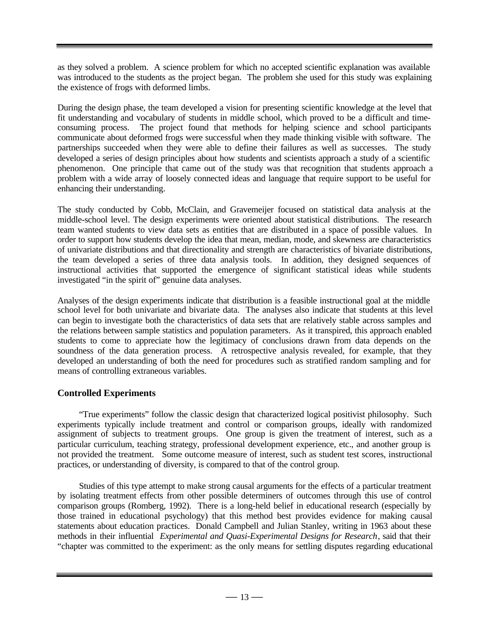as they solved a problem. A science problem for which no accepted scientific explanation was available was introduced to the students as the project began. The problem she used for this study was explaining the existence of frogs with deformed limbs.

During the design phase, the team developed a vision for presenting scientific knowledge at the level that fit understanding and vocabulary of students in middle school, which proved to be a difficult and time-<br>consuming process. The project found that methods for helping science and school participants The project found that methods for helping science and school participants communicate about deformed frogs were successful when they made thinking visible with software. The partnerships succeeded when they were able to define their failures as well as successes. The study developed a series of design principles about how students and scientists approach a study of a scientific phenomenon. One principle that came out of the study was that recognition that students approach a problem with a wide array of loosely connected ideas and language that require support to be useful for enhancing their understanding.

The study conducted by Cobb, McClain, and Gravemeijer focused on statistical data analysis at the middle-school level. The design experiments were oriented about statistical distributions. The research team wanted students to view data sets as entities that are distributed in a space of possible values. In order to support how students develop the idea that mean, median, mode, and skewness are characteristics of univariate distributions and that directionality and strength are characteristics of bivariate distributions, the team developed a series of three data analysis tools. In addition, they designed sequences of instructional activities that supported the emergence of significant statistical ideas while students investigated "in the spirit of" genuine data analyses.

Analyses of the design experiments indicate that distribution is a feasible instructional goal at the middle school level for both univariate and bivariate data. The analyses also indicate that students at this level can begin to investigate both the characteristics of data sets that are relatively stable across samples and the relations between sample statistics and population parameters. As it transpired, this approach enabled students to come to appreciate how the legitimacy of conclusions drawn from data depends on the soundness of the data generation process. A retrospective analysis revealed, for example, that they developed an understanding of both the need for procedures such as stratified random sampling and for means of controlling extraneous variables.

## **Controlled Experiments**

"True experiments" follow the classic design that characterized logical positivist philosophy. Such experiments typically include treatment and control or comparison groups, ideally with randomized assignment of subjects to treatment groups. One group is given the treatment of interest, such as a particular curriculum, teaching strategy, professional development experience, etc., and another group is not provided the treatment. Some outcome measure of interest, such as student test scores, instructional practices, or understanding of diversity, is compared to that of the control group.

Studies of this type attempt to make strong causal arguments for the effects of a particular treatment by isolating treatment effects from other possible determiners of outcomes through this use of control comparison groups (Romberg, 1992). There is a long-held belief in educational research (especially by those trained in educational psychology) that this method best provides evidence for making causal statements about education practices. Donald Campbell and Julian Stanley, writing in 1963 about these methods in their influential *Experimental and Quasi-Experimental Designs for Research*, said that their "chapter was committed to the experiment: as the only means for settling disputes regarding educational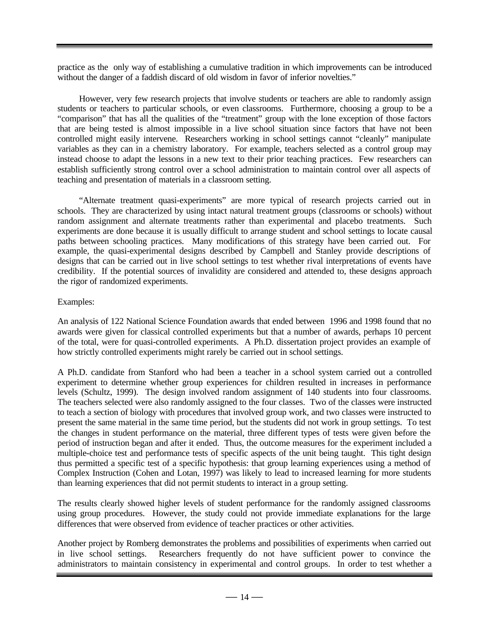practice as the only way of establishing a cumulative tradition in which improvements can be introduced without the danger of a faddish discard of old wisdom in favor of inferior novelties."

However, very few research projects that involve students or teachers are able to randomly assign students or teachers to particular schools, or even classrooms. Furthermore, choosing a group to be a "comparison" that has all the qualities of the "treatment" group with the lone exception of those factors that are being tested is almost impossible in a live school situation since factors that have not been controlled might easily intervene. Researchers working in school settings cannot "cleanly" manipulate variables as they can in a chemistry laboratory. For example, teachers selected as a control group may instead choose to adapt the lessons in a new text to their prior teaching practices. Few researchers can establish sufficiently strong control over a school administration to maintain control over all aspects of teaching and presentation of materials in a classroom setting.

"Alternate treatment quasi-experiments" are more typical of research projects carried out in schools. They are characterized by using intact natural treatment groups (classrooms or schools) without random assignment and alternate treatments rather than experimental and placebo treatments. Such experiments are done because it is usually difficult to arrange student and school settings to locate causal paths between schooling practices. Many modifications of this strategy have been carried out. For example, the quasi-experimental designs described by Campbell and Stanley provide descriptions of designs that can be carried out in live school settings to test whether rival interpretations of events have credibility. If the potential sources of invalidity are considered and attended to, these designs approach the rigor of randomized experiments.

#### Examples:

An analysis of 122 National Science Foundation awards that ended between 1996 and 1998 found that no awards were given for classical controlled experiments but that a number of awards, perhaps 10 percent of the total, were for quasi-controlled experiments. A Ph.D. dissertation project provides an example of how strictly controlled experiments might rarely be carried out in school settings.

A Ph.D. candidate from Stanford who had been a teacher in a school system carried out a controlled experiment to determine whether group experiences for children resulted in increases in performance levels (Schultz, 1999). The design involved random assignment of 140 students into four classrooms. The teachers selected were also randomly assigned to the four classes. Two of the classes were instructed to teach a section of biology with procedures that involved group work, and two classes were instructed to present the same material in the same time period, but the students did not work in group settings. To test the changes in student performance on the material, three different types of tests were given before the period of instruction began and after it ended. Thus, the outcome measures for the experiment included a multiple-choice test and performance tests of specific aspects of the unit being taught. This tight design thus permitted a specific test of a specific hypothesis: that group learning experiences using a method of Complex Instruction (Cohen and Lotan, 1997) was likely to lead to increased learning for more students than learning experiences that did not permit students to interact in a group setting.

The results clearly showed higher levels of student performance for the randomly assigned classrooms using group procedures. However, the study could not provide immediate explanations for the large differences that were observed from evidence of teacher practices or other activities.

Another project by Romberg demonstrates the problems and possibilities of experiments when carried out in live school settings. Researchers frequently do not have sufficient power to convince the administrators to maintain consistency in experimental and control groups. In order to test whether a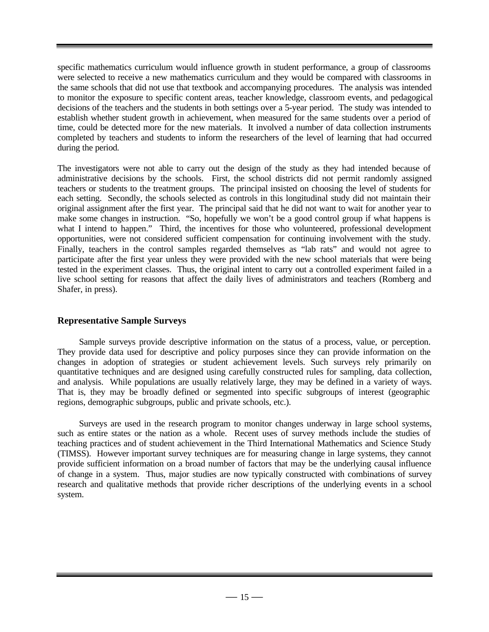specific mathematics curriculum would influence growth in student performance, a group of classrooms were selected to receive a new mathematics curriculum and they would be compared with classrooms in the same schools that did not use that textbook and accompanying procedures. The analysis was intended to monitor the exposure to specific content areas, teacher knowledge, classroom events, and pedagogical decisions of the teachers and the students in both settings over a 5-year period. The study was intended to establish whether student growth in achievement, when measured for the same students over a period of time, could be detected more for the new materials. It involved a number of data collection instruments completed by teachers and students to inform the researchers of the level of learning that had occurred during the period.

The investigators were not able to carry out the design of the study as they had intended because of administrative decisions by the schools. First, the school districts did not permit randomly assigned teachers or students to the treatment groups. The principal insisted on choosing the level of students for each setting. Secondly, the schools selected as controls in this longitudinal study did not maintain their original assignment after the first year. The principal said that he did not want to wait for another year to make some changes in instruction. "So, hopefully we won't be a good control group if what happens is what I intend to happen." Third, the incentives for those who volunteered, professional development opportunities, were not considered sufficient compensation for continuing involvement with the study. Finally, teachers in the control samples regarded themselves as "lab rats" and would not agree to participate after the first year unless they were provided with the new school materials that were being tested in the experiment classes. Thus, the original intent to carry out a controlled experiment failed in a live school setting for reasons that affect the daily lives of administrators and teachers (Romberg and Shafer, in press).

#### **Representative Sample Surveys**

Sample surveys provide descriptive information on the status of a process, value, or perception. They provide data used for descriptive and policy purposes since they can provide information on the changes in adoption of strategies or student achievement levels. Such surveys rely primarily on quantitative techniques and are designed using carefully constructed rules for sampling, data collection, and analysis. While populations are usually relatively large, they may be defined in a variety of ways. That is, they may be broadly defined or segmented into specific subgroups of interest (geographic regions, demographic subgroups, public and private schools, etc.).

Surveys are used in the research program to monitor changes underway in large school systems, such as entire states or the nation as a whole. Recent uses of survey methods include the studies of teaching practices and of student achievement in the Third International Mathematics and Science Study (TIMSS). However important survey techniques are for measuring change in large systems, they cannot provide sufficient information on a broad number of factors that may be the underlying causal influence of change in a system. Thus, major studies are now typically constructed with combinations of survey research and qualitative methods that provide richer descriptions of the underlying events in a school system.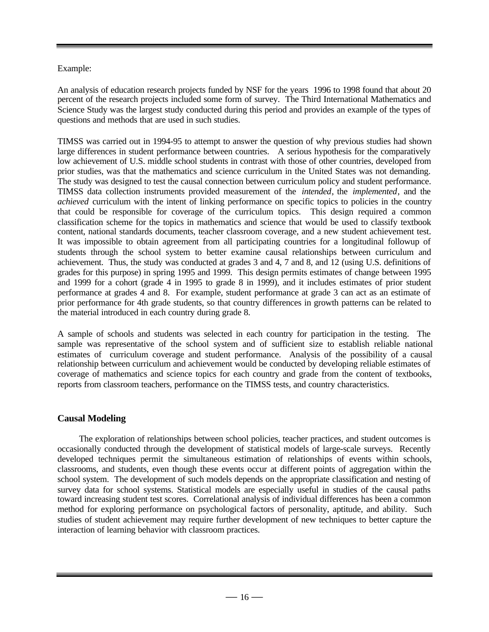#### Example:

An analysis of education research projects funded by NSF for the years 1996 to 1998 found that about 20 percent of the research projects included some form of survey. The Third International Mathematics and Science Study was the largest study conducted during this period and provides an example of the types of questions and methods that are used in such studies.

TIMSS was carried out in 1994-95 to attempt to answer the question of why previous studies had shown large differences in student performance between countries. A serious hypothesis for the comparatively low achievement of U.S. middle school students in contrast with those of other countries, developed from prior studies, was that the mathematics and science curriculum in the United States was not demanding. The study was designed to test the causal connection between curriculum policy and student performance. TIMSS data collection instruments provided measurement of the *intended*, the *implemented*, and the *achieved* curriculum with the intent of linking performance on specific topics to policies in the country that could be responsible for coverage of the curriculum topics. This design required a common classification scheme for the topics in mathematics and science that would be used to classify textbook content, national standards documents, teacher classroom coverage, and a new student achievement test. It was impossible to obtain agreement from all participating countries for a longitudinal followup of students through the school system to better examine causal relationships between curriculum and achievement. Thus, the study was conducted at grades 3 and 4, 7 and 8, and 12 (using U.S. definitions of grades for this purpose) in spring 1995 and 1999. This design permits estimates of change between 1995 and 1999 for a cohort (grade 4 in 1995 to grade 8 in 1999), and it includes estimates of prior student performance at grades 4 and 8. For example, student performance at grade 3 can act as an estimate of prior performance for 4th grade students, so that country differences in growth patterns can be related to the material introduced in each country during grade 8.

A sample of schools and students was selected in each country for participation in the testing. The sample was representative of the school system and of sufficient size to establish reliable national estimates of curriculum coverage and student performance. Analysis of the possibility of a causal relationship between curriculum and achievement would be conducted by developing reliable estimates of coverage of mathematics and science topics for each country and grade from the content of textbooks, reports from classroom teachers, performance on the TIMSS tests, and country characteristics.

#### **Causal Modeling**

The exploration of relationships between school policies, teacher practices, and student outcomes is occasionally conducted through the development of statistical models of large-scale surveys. Recently developed techniques permit the simultaneous estimation of relationships of events within schools, classrooms, and students, even though these events occur at different points of aggregation within the school system. The development of such models depends on the appropriate classification and nesting of survey data for school systems. Statistical models are especially useful in studies of the causal paths toward increasing student test scores. Correlational analysis of individual differences has been a common method for exploring performance on psychological factors of personality, aptitude, and ability. Such studies of student achievement may require further development of new techniques to better capture the interaction of learning behavior with classroom practices.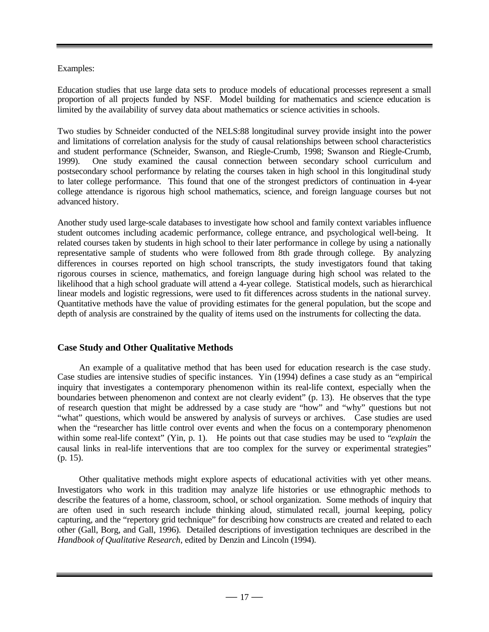### Examples:

Education studies that use large data sets to produce models of educational processes represent a small proportion of all projects funded by NSF. Model building for mathematics and science education is limited by the availability of survey data about mathematics or science activities in schools.

Two studies by Schneider conducted of the NELS:88 longitudinal survey provide insight into the power and limitations of correlation analysis for the study of causal relationships between school characteristics and student performance (Schneider, Swanson, and Riegle-Crumb, 1998; Swanson and Riegle-Crumb, 1999). One study examined the causal connection between secondary school curriculum and postsecondary school performance by relating the courses taken in high school in this longitudinal study to later college performance. This found that one of the strongest predictors of continuation in 4-year college attendance is rigorous high school mathematics, science, and foreign language courses but not advanced history.

Another study used large-scale databases to investigate how school and family context variables influence student outcomes including academic performance, college entrance, and psychological well-being. It related courses taken by students in high school to their later performance in college by using a nationally representative sample of students who were followed from 8th grade through college. By analyzing differences in courses reported on high school transcripts, the study investigators found that taking rigorous courses in science, mathematics, and foreign language during high school was related to the likelihood that a high school graduate will attend a 4-year college. Statistical models, such as hierarchical linear models and logistic regressions, were used to fit differences across students in the national survey. Quantitative methods have the value of providing estimates for the general population, but the scope and depth of analysis are constrained by the quality of items used on the instruments for collecting the data.

## **Case Study and Other Qualitative Methods**

An example of a qualitative method that has been used for education research is the case study. Case studies are intensive studies of specific instances. Yin (1994) defines a case study as an "empirical inquiry that investigates a contemporary phenomenon within its real-life context, especially when the boundaries between phenomenon and context are not clearly evident" (p. 13). He observes that the type of research question that might be addressed by a case study are "how" and "why" questions but not "what" questions, which would be answered by analysis of surveys or archives. Case studies are used when the "researcher has little control over events and when the focus on a contemporary phenomenon within some real-life context" (Yin, p. 1). He points out that case studies may be used to "*explain* the causal links in real-life interventions that are too complex for the survey or experimental strategies" (p. 15).

Other qualitative methods might explore aspects of educational activities with yet other means. Investigators who work in this tradition may analyze life histories or use ethnographic methods to describe the features of a home, classroom, school, or school organization. Some methods of inquiry that are often used in such research include thinking aloud, stimulated recall, journal keeping, policy capturing, and the "repertory grid technique" for describing how constructs are created and related to each other (Gall, Borg, and Gall, 1996). Detailed descriptions of investigation techniques are described in the *Handbook of Qualitative Research,* edited by Denzin and Lincoln (1994).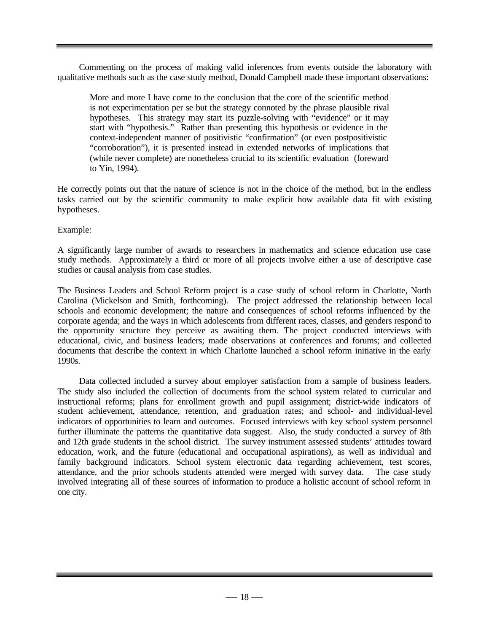Commenting on the process of making valid inferences from events outside the laboratory with qualitative methods such as the case study method, Donald Campbell made these important observations:

More and more I have come to the conclusion that the core of the scientific method is not experimentation per se but the strategy connoted by the phrase plausible rival hypotheses. This strategy may start its puzzle-solving with "evidence" or it may start with "hypothesis." Rather than presenting this hypothesis or evidence in the context-independent manner of positivistic "confirmation" (or even postpositivistic "corroboration"), it is presented instead in extended networks of implications that (while never complete) are nonetheless crucial to its scientific evaluation (foreward to Yin, 1994).

He correctly points out that the nature of science is not in the choice of the method, but in the endless tasks carried out by the scientific community to make explicit how available data fit with existing hypotheses.

Example:

A significantly large number of awards to researchers in mathematics and science education use case study methods. Approximately a third or more of all projects involve either a use of descriptive case studies or causal analysis from case studies.

The Business Leaders and School Reform project is a case study of school reform in Charlotte, North Carolina (Mickelson and Smith, forthcoming). The project addressed the relationship between local schools and economic development; the nature and consequences of school reforms influenced by the corporate agenda; and the ways in which adolescents from different races, classes, and genders respond to the opportunity structure they perceive as awaiting them. The project conducted interviews with educational, civic, and business leaders; made observations at conferences and forums; and collected documents that describe the context in which Charlotte launched a school reform initiative in the early 1990s.

Data collected included a survey about employer satisfaction from a sample of business leaders. The study also included the collection of documents from the school system related to curricular and instructional reforms; plans for enrollment growth and pupil assignment; district-wide indicators of student achievement, attendance, retention, and graduation rates; and school- and individual-level indicators of opportunities to learn and outcomes. Focused interviews with key school system personnel further illuminate the patterns the quantitative data suggest. Also, the study conducted a survey of 8th and 12th grade students in the school district. The survey instrument assessed students' attitudes toward education, work, and the future (educational and occupational aspirations), as well as individual and family background indicators. School system electronic data regarding achievement, test scores, attendance, and the prior schools students attended were merged with survey data. The case study involved integrating all of these sources of information to produce a holistic account of school reform in one city.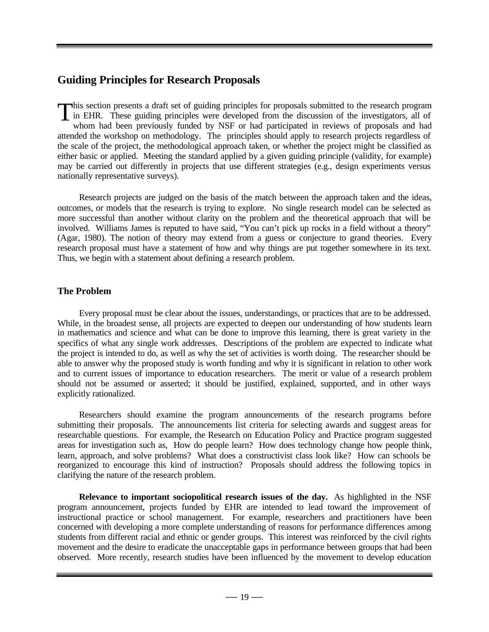# **Guiding Principles for Research Proposals**

This section presents a draft set of guiding principles for proposals submitted to the research program<br>in EHR. These guiding principles were developed from the discussion of the investigators, all of<br>whom had been previou in EHR. These guiding principles were developed from the discussion of the investigators, all of whom had been previously funded by NSF or had participated in reviews of proposals and had attended the workshop on methodology. The principles should apply to research projects regardless of the scale of the project, the methodological approach taken, or whether the project might be classified as either basic or applied. Meeting the standard applied by a given guiding principle (validity, for example) may be carried out differently in projects that use different strategies (e.g., design experiments versus nationally representative surveys).

Research projects are judged on the basis of the match between the approach taken and the ideas, outcomes, or models that the research is trying to explore. No single research model can be selected as more successful than another without clarity on the problem and the theoretical approach that will be involved. Williams James is reputed to have said, "You can't pick up rocks in a field without a theory" (Agar, 1980). The notion of theory may extend from a guess or conjecture to grand theories. Every research proposal must have a statement of how and why things are put together somewhere in its text. Thus, we begin with a statement about defining a research problem.

## **The Problem**

Every proposal must be clear about the issues, understandings, or practices that are to be addressed. While, in the broadest sense, all projects are expected to deepen our understanding of how students learn in mathematics and science and what can be done to improve this learning, there is great variety in the specifics of what any single work addresses. Descriptions of the problem are expected to indicate what the project is intended to do, as well as why the set of activities is worth doing. The researcher should be able to answer why the proposed study is worth funding and why it is significant in relation to other work and to current issues of importance to education researchers. The merit or value of a research problem should not be assumed or asserted; it should be justified, explained, supported, and in other ways explicitly rationalized.

Researchers should examine the program announcements of the research programs before submitting their proposals. The announcements list criteria for selecting awards and suggest areas for researchable questions. For example, the Research on Education Policy and Practice program suggested areas for investigation such as, How do people learn? How does technology change how people think, learn, approach, and solve problems? What does a constructivist class look like? How can schools be reorganized to encourage this kind of instruction? Proposals should address the following topics in clarifying the nature of the research problem.

**Relevance to important sociopolitical research issues of the day.** As highlighted in the NSF program announcement, projects funded by EHR are intended to lead toward the improvement of instructional practice or school management. For example, researchers and practitioners have been concerned with developing a more complete understanding of reasons for performance differences among students from different racial and ethnic or gender groups. This interest was reinforced by the civil rights movement and the desire to eradicate the unacceptable gaps in performance between groups that had been observed. More recently, research studies have been influenced by the movement to develop education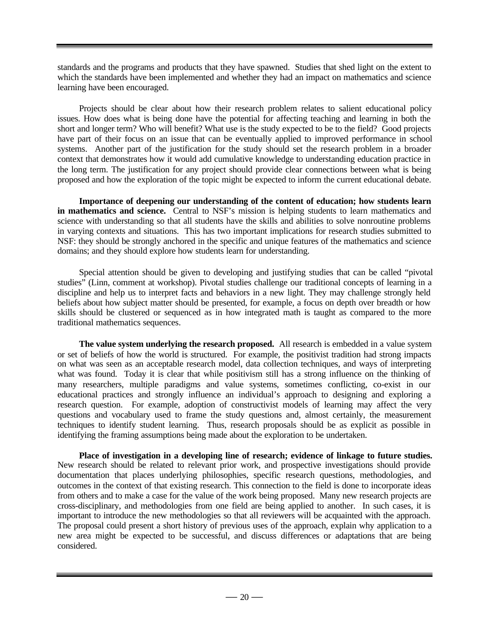standards and the programs and products that they have spawned. Studies that shed light on the extent to which the standards have been implemented and whether they had an impact on mathematics and science learning have been encouraged.

Projects should be clear about how their research problem relates to salient educational policy issues. How does what is being done have the potential for affecting teaching and learning in both the short and longer term? Who will benefit? What use is the study expected to be to the field? Good projects have part of their focus on an issue that can be eventually applied to improved performance in school systems. Another part of the justification for the study should set the research problem in a broader context that demonstrates how it would add cumulative knowledge to understanding education practice in the long term. The justification for any project should provide clear connections between what is being proposed and how the exploration of the topic might be expected to inform the current educational debate.

**Importance of deepening our understanding of the content of education; how students learn in mathematics and science.** Central to NSF's mission is helping students to learn mathematics and science with understanding so that all students have the skills and abilities to solve nonroutine problems in varying contexts and situations. This has two important implications for research studies submitted to NSF: they should be strongly anchored in the specific and unique features of the mathematics and science domains; and they should explore how students learn for understanding.

Special attention should be given to developing and justifying studies that can be called "pivotal studies" (Linn, comment at workshop). Pivotal studies challenge our traditional concepts of learning in a discipline and help us to interpret facts and behaviors in a new light. They may challenge strongly held beliefs about how subject matter should be presented, for example, a focus on depth over breadth or how skills should be clustered or sequenced as in how integrated math is taught as compared to the more traditional mathematics sequences.

**The value system underlying the research proposed.** All research is embedded in a value system or set of beliefs of how the world is structured. For example, the positivist tradition had strong impacts on what was seen as an acceptable research model, data collection techniques, and ways of interpreting what was found. Today it is clear that while positivism still has a strong influence on the thinking of many researchers, multiple paradigms and value systems, sometimes conflicting, co-exist in our educational practices and strongly influence an individual's approach to designing and exploring a research question. For example, adoption of constructivist models of learning may affect the very questions and vocabulary used to frame the study questions and, almost certainly, the measurement techniques to identify student learning. Thus, research proposals should be as explicit as possible in identifying the framing assumptions being made about the exploration to be undertaken.

**Place of investigation in a developing line of research; evidence of linkage to future studies.** New research should be related to relevant prior work, and prospective investigations should provide documentation that places underlying philosophies, specific research questions, methodologies, and outcomes in the context of that existing research. This connection to the field is done to incorporate ideas from others and to make a case for the value of the work being proposed. Many new research projects are cross-disciplinary, and methodologies from one field are being applied to another. In such cases, it is important to introduce the new methodologies so that all reviewers will be acquainted with the approach. The proposal could present a short history of previous uses of the approach, explain why application to a new area might be expected to be successful, and discuss differences or adaptations that are being considered.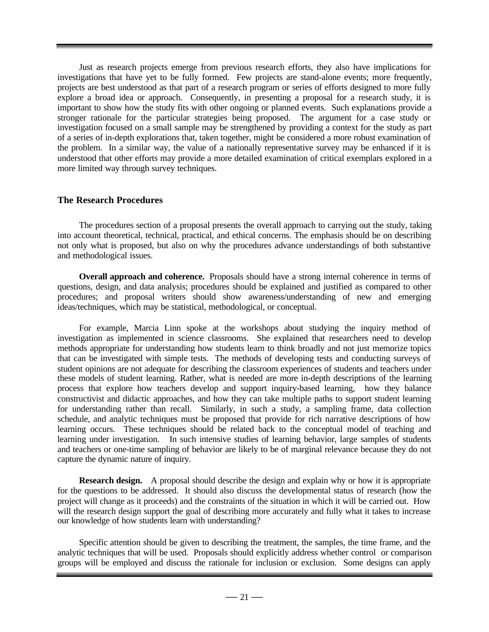Just as research projects emerge from previous research efforts, they also have implications for investigations that have yet to be fully formed. Few projects are stand-alone events; more frequently, projects are best understood as that part of a research program or series of efforts designed to more fully explore a broad idea or approach. Consequently, in presenting a proposal for a research study, it is important to show how the study fits with other ongoing or planned events. Such explanations provide a stronger rationale for the particular strategies being proposed. The argument for a case study or investigation focused on a small sample may be strengthened by providing a context for the study as part of a series of in-depth explorations that, taken together, might be considered a more robust examination of the problem. In a similar way, the value of a nationally representative survey may be enhanced if it is understood that other efforts may provide a more detailed examination of critical exemplars explored in a more limited way through survey techniques.

#### **The Research Procedures**

The procedures section of a proposal presents the overall approach to carrying out the study, taking into account theoretical, technical, practical, and ethical concerns. The emphasis should be on describing not only what is proposed, but also on why the procedures advance understandings of both substantive and methodological issues.

**Overall approach and coherence.** Proposals should have a strong internal coherence in terms of questions, design, and data analysis; procedures should be explained and justified as compared to other procedures; and proposal writers should show awareness/understanding of new and emerging ideas/techniques, which may be statistical, methodological, or conceptual.

For example, Marcia Linn spoke at the workshops about studying the inquiry method of investigation as implemented in science classrooms. She explained that researchers need to develop methods appropriate for understanding how students learn to think broadly and not just memorize topics that can be investigated with simple tests. The methods of developing tests and conducting surveys of student opinions are not adequate for describing the classroom experiences of students and teachers under these models of student learning. Rather, what is needed are more in-depth descriptions of the learning process that explore how teachers develop and support inquiry-based learning, how they balance constructivist and didactic approaches, and how they can take multiple paths to support student learning for understanding rather than recall. Similarly, in such a study, a sampling frame, data collection schedule, and analytic techniques must be proposed that provide for rich narrative descriptions of how learning occurs. These techniques should be related back to the conceptual model of teaching and learning under investigation. In such intensive studies of learning behavior, large samples of students and teachers or one-time sampling of behavior are likely to be of marginal relevance because they do not capture the dynamic nature of inquiry.

**Research design.** A proposal should describe the design and explain why or how it is appropriate for the questions to be addressed. It should also discuss the developmental status of research (how the project will change as it proceeds) and the constraints of the situation in which it will be carried out. How will the research design support the goal of describing more accurately and fully what it takes to increase our knowledge of how students learn with understanding?

Specific attention should be given to describing the treatment, the samples, the time frame, and the analytic techniques that will be used. Proposals should explicitly address whether control or comparison groups will be employed and discuss the rationale for inclusion or exclusion. Some designs can apply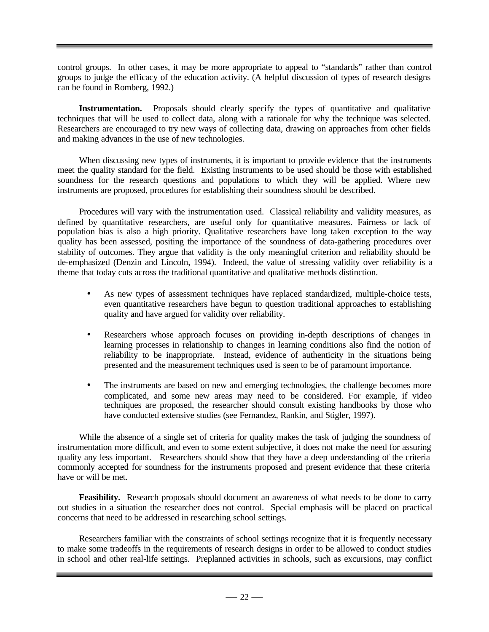control groups. In other cases, it may be more appropriate to appeal to "standards" rather than control groups to judge the efficacy of the education activity. (A helpful discussion of types of research designs can be found in Romberg, 1992.)

**Instrumentation.** Proposals should clearly specify the types of quantitative and qualitative techniques that will be used to collect data, along with a rationale for why the technique was selected. Researchers are encouraged to try new ways of collecting data, drawing on approaches from other fields and making advances in the use of new technologies.

When discussing new types of instruments, it is important to provide evidence that the instruments meet the quality standard for the field. Existing instruments to be used should be those with established soundness for the research questions and populations to which they will be applied. Where new instruments are proposed, procedures for establishing their soundness should be described.

Procedures will vary with the instrumentation used. Classical reliability and validity measures, as defined by quantitative researchers, are useful only for quantitative measures. Fairness or lack of population bias is also a high priority. Qualitative researchers have long taken exception to the way quality has been assessed, positing the importance of the soundness of data-gathering procedures over stability of outcomes. They argue that validity is the only meaningful criterion and reliability should be de-emphasized (Denzin and Lincoln, 1994). Indeed, the value of stressing validity over reliability is a theme that today cuts across the traditional quantitative and qualitative methods distinction.

- As new types of assessment techniques have replaced standardized, multiple-choice tests, even quantitative researchers have begun to question traditional approaches to establishing quality and have argued for validity over reliability.
- Researchers whose approach focuses on providing in-depth descriptions of changes in learning processes in relationship to changes in learning conditions also find the notion of reliability to be inappropriate. Instead, evidence of authenticity in the situations being presented and the measurement techniques used is seen to be of paramount importance.
- The instruments are based on new and emerging technologies, the challenge becomes more complicated, and some new areas may need to be considered. For example, if video techniques are proposed, the researcher should consult existing handbooks by those who have conducted extensive studies (see Fernandez, Rankin, and Stigler, 1997).

While the absence of a single set of criteria for quality makes the task of judging the soundness of instrumentation more difficult, and even to some extent subjective, it does not make the need for assuring quality any less important. Researchers should show that they have a deep understanding of the criteria commonly accepted for soundness for the instruments proposed and present evidence that these criteria have or will be met.

**Feasibility.** Research proposals should document an awareness of what needs to be done to carry out studies in a situation the researcher does not control. Special emphasis will be placed on practical concerns that need to be addressed in researching school settings.

Researchers familiar with the constraints of school settings recognize that it is frequently necessary to make some tradeoffs in the requirements of research designs in order to be allowed to conduct studies in school and other real-life settings. Preplanned activities in schools, such as excursions, may conflict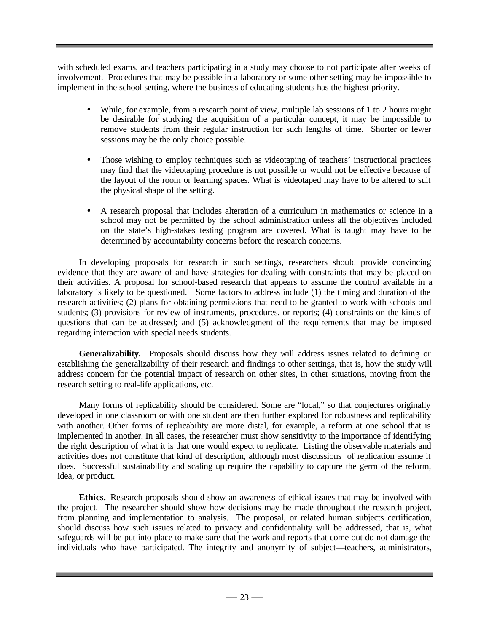with scheduled exams, and teachers participating in a study may choose to not participate after weeks of involvement. Procedures that may be possible in a laboratory or some other setting may be impossible to implement in the school setting, where the business of educating students has the highest priority.

- While, for example, from a research point of view, multiple lab sessions of 1 to 2 hours might be desirable for studying the acquisition of a particular concept, it may be impossible to remove students from their regular instruction for such lengths of time. Shorter or fewer sessions may be the only choice possible.
- Those wishing to employ techniques such as videotaping of teachers' instructional practices may find that the videotaping procedure is not possible or would not be effective because of the layout of the room or learning spaces. What is videotaped may have to be altered to suit the physical shape of the setting.
- A research proposal that includes alteration of a curriculum in mathematics or science in a school may not be permitted by the school administration unless all the objectives included on the state's high-stakes testing program are covered. What is taught may have to be determined by accountability concerns before the research concerns.

In developing proposals for research in such settings, researchers should provide convincing evidence that they are aware of and have strategies for dealing with constraints that may be placed on their activities. A proposal for school-based research that appears to assume the control available in a laboratory is likely to be questioned. Some factors to address include (1) the timing and duration of the research activities; (2) plans for obtaining permissions that need to be granted to work with schools and students; (3) provisions for review of instruments, procedures, or reports; (4) constraints on the kinds of questions that can be addressed; and (5) acknowledgment of the requirements that may be imposed regarding interaction with special needs students.

**Generalizability.** Proposals should discuss how they will address issues related to defining or establishing the generalizability of their research and findings to other settings, that is, how the study will address concern for the potential impact of research on other sites, in other situations, moving from the research setting to real-life applications, etc.

Many forms of replicability should be considered. Some are "local," so that conjectures originally developed in one classroom or with one student are then further explored for robustness and replicability with another. Other forms of replicability are more distal, for example, a reform at one school that is implemented in another. In all cases, the researcher must show sensitivity to the importance of identifying the right description of what it is that one would expect to replicate. Listing the observable materials and activities does not constitute that kind of description, although most discussions of replication assume it does. Successful sustainability and scaling up require the capability to capture the germ of the reform, idea, or product.

**Ethics.** Research proposals should show an awareness of ethical issues that may be involved with the project. The researcher should show how decisions may be made throughout the research project, from planning and implementation to analysis. The proposal, or related human subjects certification, should discuss how such issues related to privacy and confidentiality will be addressed, that is, what safeguards will be put into place to make sure that the work and reports that come out do not damage the individuals who have participated. The integrity and anonymity of subject—teachers, administrators,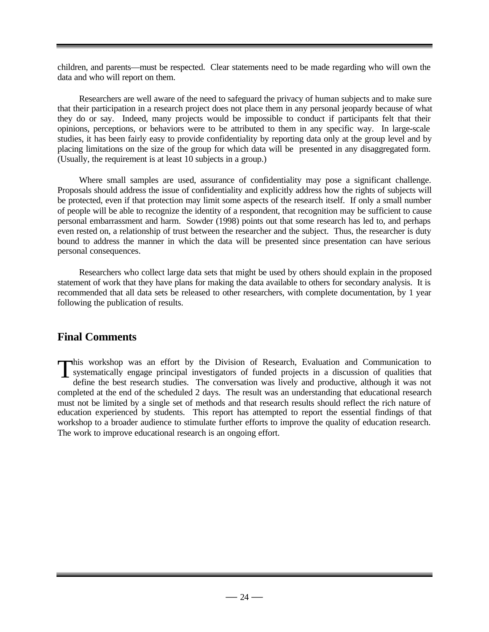children, and parents—must be respected. Clear statements need to be made regarding who will own the data and who will report on them.

Researchers are well aware of the need to safeguard the privacy of human subjects and to make sure that their participation in a research project does not place them in any personal jeopardy because of what they do or say. Indeed, many projects would be impossible to conduct if participants felt that their opinions, perceptions, or behaviors were to be attributed to them in any specific way. In large-scale studies, it has been fairly easy to provide confidentiality by reporting data only at the group level and by placing limitations on the size of the group for which data will be presented in any disaggregated form. (Usually, the requirement is at least 10 subjects in a group.)

Where small samples are used, assurance of confidentiality may pose a significant challenge. Proposals should address the issue of confidentiality and explicitly address how the rights of subjects will be protected, even if that protection may limit some aspects of the research itself. If only a small number of people will be able to recognize the identity of a respondent, that recognition may be sufficient to cause personal embarrassment and harm. Sowder (1998) points out that some research has led to, and perhaps even rested on, a relationship of trust between the researcher and the subject. Thus, the researcher is duty bound to address the manner in which the data will be presented since presentation can have serious personal consequences.

Researchers who collect large data sets that might be used by others should explain in the proposed statement of work that they have plans for making the data available to others for secondary analysis. It is recommended that all data sets be released to other researchers, with complete documentation, by 1 year following the publication of results.

# **Final Comments**

his workshop was an effort by the Division of Research, Evaluation and Communication to This workshop was an effort by the Division of Research, Evaluation and Communication to systematically engage principal investigators of funded projects in a discussion of qualities that define the best research studies. define the best research studies. The conversation was lively and productive, although it was not completed at the end of the scheduled 2 days. The result was an understanding that educational research must not be limited by a single set of methods and that research results should reflect the rich nature of education experienced by students. This report has attempted to report the essential findings of that workshop to a broader audience to stimulate further efforts to improve the quality of education research. The work to improve educational research is an ongoing effort.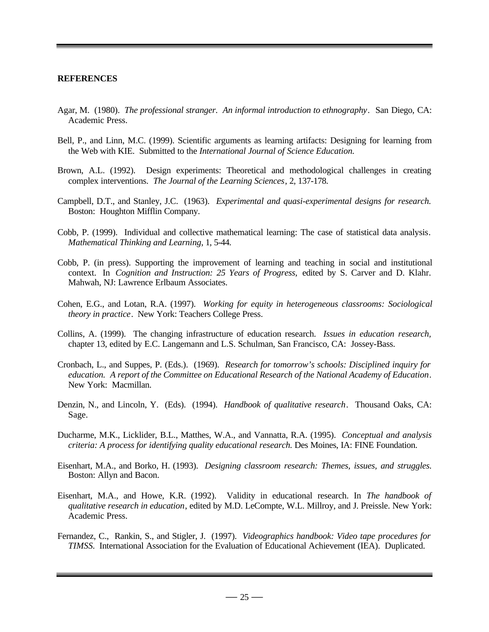#### **REFERENCES**

- Agar, M. (1980). *The professional stranger. An informal introduction to ethnography*. San Diego, CA: Academic Press.
- Bell, P., and Linn, M.C. (1999). Scientific arguments as learning artifacts: Designing for learning from the Web with KIE. Submitted to the *International Journal of Science Education.*
- Brown, A.L. (1992). Design experiments: Theoretical and methodological challenges in creating complex interventions. *The Journal of the Learning Sciences*, 2, 137-178.
- Campbell, D.T., and Stanley, J.C. (1963). *Experimental and quasi-experimental designs for research.* Boston: Houghton Mifflin Company.
- Cobb, P. (1999). Individual and collective mathematical learning: The case of statistical data analysis*. Mathematical Thinking and Learning*, 1, 5-44.
- Cobb, P. (in press). Supporting the improvement of learning and teaching in social and institutional context. In *Cognition and Instruction: 25 Years of Progress,* edited by S. Carver and D. Klahr. Mahwah, NJ: Lawrence Erlbaum Associates.
- Cohen, E.G., and Lotan, R.A. (1997). *Working for equity in heterogeneous classrooms: Sociological theory in practice*. New York: Teachers College Press.
- Collins, A. (1999). The changing infrastructure of education research. *Issues in education research,* chapter 13, edited by E.C. Langemann and L.S. Schulman, San Francisco, CA: Jossey-Bass.
- Cronbach, L., and Suppes, P. (Eds.). (1969). *Research for tomorrow's schools: Disciplined inquiry for education. A report of the Committee on Educational Research of the National Academy of Education*. New York: Macmillan.
- Denzin, N., and Lincoln, Y. (Eds). (1994). *Handbook of qualitative research*. Thousand Oaks, CA: Sage.
- Ducharme, M.K., Licklider, B.L., Matthes, W.A., and Vannatta, R.A. (1995). *Conceptual and analysis criteria: A process for identifying quality educational research.* Des Moines, IA: FINE Foundation.
- Eisenhart, M.A., and Borko, H. (1993). *Designing classroom research: Themes, issues, and struggles.* Boston: Allyn and Bacon.
- Eisenhart, M.A., and Howe, K.R. (1992). Validity in educational research. In *The handbook of qualitative research in education*, edited by M.D. LeCompte, W.L. Millroy, and J. Preissle. New York: Academic Press.
- Fernandez, C., Rankin, S., and Stigler, J. (1997). *Videographics handbook: Video tape procedures for TIMSS.* International Association for the Evaluation of Educational Achievement (IEA). Duplicated.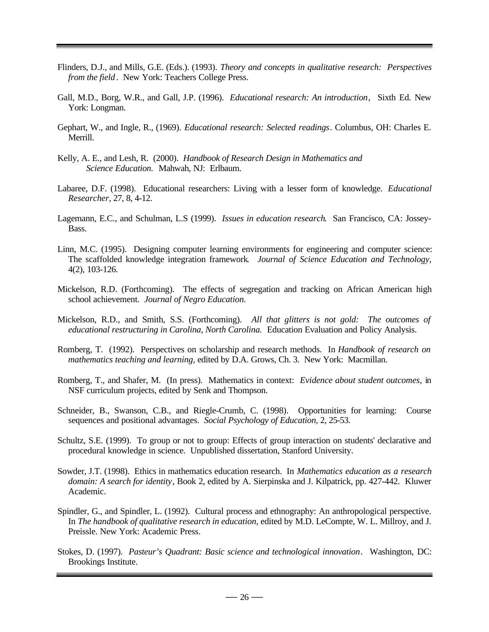- Flinders, D.J., and Mills, G.E. (Eds.). (1993). *Theory and concepts in qualitative research: Perspectives from the field*. New York: Teachers College Press.
- Gall, M.D., Borg, W.R., and Gall, J.P. (1996). *Educational research: An introduction*, Sixth Ed. New York: Longman.
- Gephart, W., and Ingle, R., (1969). *Educational research: Selected readings*. Columbus, OH: Charles E. Merrill.
- Kelly, A. E., and Lesh, R. (2000). *Handbook of Research Design in Mathematics and Science Education.* Mahwah, NJ: Erlbaum.
- Labaree, D.F. (1998). Educational researchers: Living with a lesser form of knowledge. *Educational Researcher*, 27, 8, 4-12.
- Lagemann, E.C., and Schulman, L.S (1999). *Issues in education research*. San Francisco, CA: Jossey-Bass.
- Linn, M.C. (1995). Designing computer learning environments for engineering and computer science: The scaffolded knowledge integration framework*. Journal of Science Education and Technology*, 4(2), 103-126.
- Mickelson, R.D. (Forthcoming). The effects of segregation and tracking on African American high school achievement. *Journal of Negro Education.*
- Mickelson, R.D., and Smith, S.S. (Forthcoming). *All that glitters is not gold: The outcomes of educational restructuring in Carolina, North Carolina.* Education Evaluation and Policy Analysis.
- Romberg, T. (1992). Perspectives on scholarship and research methods. In *Handbook of research on mathematics teaching and learning,* edited by D.A. Grows, Ch. 3. New York: Macmillan.
- Romberg, T., and Shafer, M. (In press). Mathematics in context: *Evidence about student outcomes,* in NSF curriculum projects, edited by Senk and Thompson.
- Schneider, B., Swanson, C.B., and Riegle-Crumb, C. (1998). Opportunities for learning: Course sequences and positional advantages. *Social Psychology of Education,* 2, 25-53.
- Schultz, S.E. (1999). To group or not to group: Effects of group interaction on students' declarative and procedural knowledge in science. Unpublished dissertation, Stanford University.
- Sowder, J.T. (1998). Ethics in mathematics education research. In *Mathematics education as a research domain: A search for identity*, Book 2, edited by A. Sierpinska and J. Kilpatrick, pp. 427-442. Kluwer Academic.
- Spindler, G., and Spindler, L. (1992). Cultural process and ethnography: An anthropological perspective. In *The handbook of qualitative research in education*, edited by M.D. LeCompte, W. L. Millroy, and J. Preissle. New York: Academic Press.
- Stokes, D. (1997). *Pasteur's Quadrant: Basic science and technological innovation*. Washington, DC: Brookings Institute.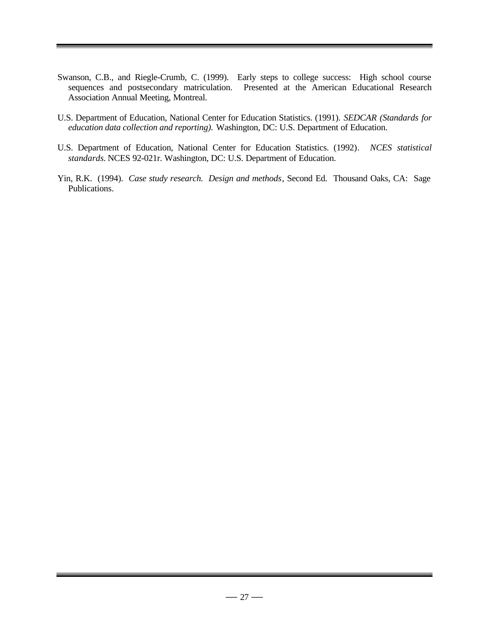- Swanson, C.B., and Riegle-Crumb, C. (1999). Early steps to college success: High school course sequences and postsecondary matriculation. Presented at the American Educational Research Association Annual Meeting, Montreal.
- U.S. Department of Education, National Center for Education Statistics. (1991). *SEDCAR (Standards for education data collection and reporting).* Washington, DC: U.S. Department of Education.
- U.S. Department of Education, National Center for Education Statistics. (1992)*. NCES statistical standards.* NCES 92-021r. Washington, DC: U.S. Department of Education.
- Yin, R.K. (1994). *Case study research. Design and methods*, Second Ed. Thousand Oaks, CA: Sage Publications.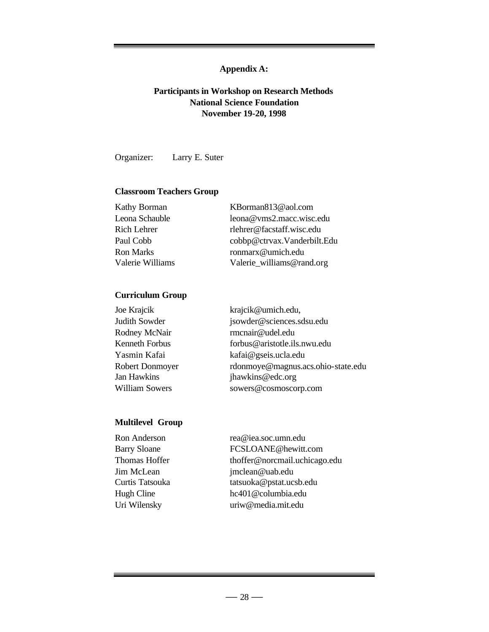# **Appendix A:**

# **Participants in Workshop on Research Methods National Science Foundation November 19-20, 1998**

Organizer: Larry E. Suter

# **Classroom Teachers Group**

| Kathy Borman     | KBorman813@aol.com          |
|------------------|-----------------------------|
| Leona Schauble   | leona@vms2.macc.wisc.edu    |
| Rich Lehrer      | rlehrer@facstaff.wisc.edu   |
| Paul Cobb        | cobbp@ctrvax.Vanderbilt.Edu |
| <b>Ron Marks</b> | ronmarx@umich.edu           |
| Valerie Williams | Valerie_williams@rand.org   |

## **Curriculum Group**

| Joe Krajcik           | krajcik@umich.edu,                 |
|-----------------------|------------------------------------|
| Judith Sowder         | jsowder@sciences.sdsu.edu          |
| Rodney McNair         | rmcnair@udel.edu                   |
| Kenneth Forbus        | forbus@aristotle.ils.nwu.edu       |
| Yasmin Kafai          | kafai@gseis.ucla.edu               |
| Robert Donmoyer       | rdonmoye@magnus.acs.ohio-state.edu |
| Jan Hawkins           | jhawkins@edc.org                   |
| <b>William Sowers</b> | sowers@cosmoscorp.com              |
|                       |                                    |

# **Multilevel Group**

| Ron Anderson        | rea@iea.soc.umn.edu           |
|---------------------|-------------------------------|
| <b>Barry Sloane</b> | FCSLOANE@hewitt.com           |
| Thomas Hoffer       | thoffer@norcmail.uchicago.edu |
| Jim McLean          | jmclean@uab.edu               |
| Curtis Tatsouka     | tatsuoka@pstat.ucsb.edu       |
| Hugh Cline          | hc401@columbia.edu            |
| Uri Wilensky        | uriw@media.mit.edu            |
|                     |                               |

۰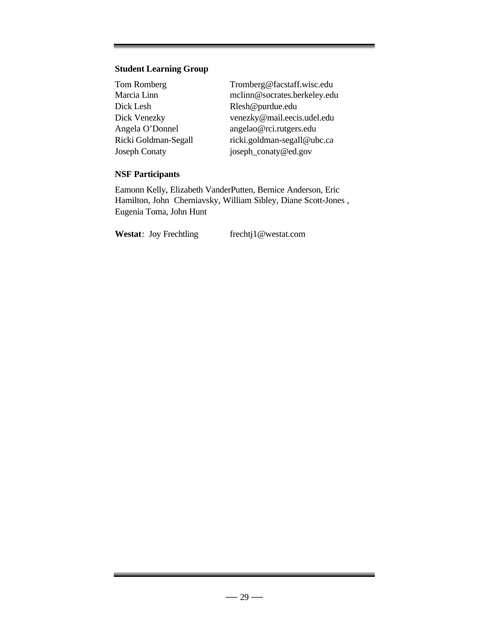# **Student Learning Group**

| Tom Romberg          | Tromberg@facstaff.wisc.edu   |
|----------------------|------------------------------|
| Marcia Linn          | mclinn@socrates.berkeley.edu |
| Dick Lesh            | Rlesh@purdue.edu             |
| Dick Venezky         | venezky@mail.eecis.udel.edu  |
| Angela O'Donnel      | angelao@rci.rutgers.edu      |
| Ricki Goldman-Segall | ricki.goldman-segall@ubc.ca  |
| <b>Joseph Conaty</b> | joseph_conaty@ed.gov         |

# **NSF Participants**

Eamonn Kelly, Elizabeth VanderPutten, Bernice Anderson, Eric Hamilton, John Cherniavsky, William Sibley, Diane Scott-Jones , Eugenia Toma, John Hunt

Westat: Joy Frechtling frechtj1@westat.com

the control of the control of the control of the control of the control of the control of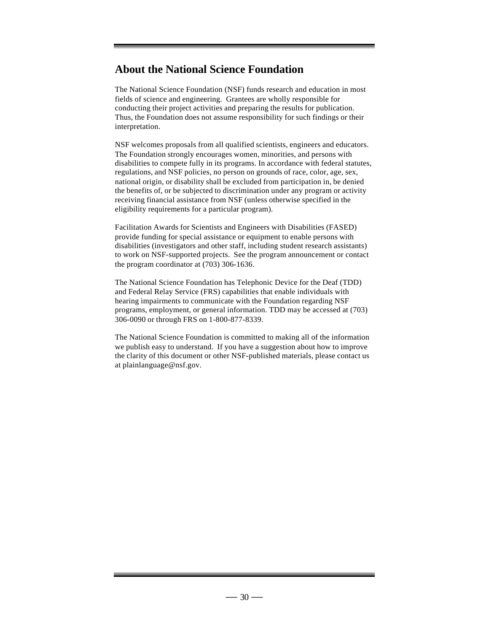# **About the National Science Foundation**

The National Science Foundation (NSF) funds research and education in most fields of science and engineering. Grantees are wholly responsible for conducting their project activities and preparing the results for publication. Thus, the Foundation does not assume responsibility for such findings or their interpretation.

NSF welcomes proposals from all qualified scientists, engineers and educators. The Foundation strongly encourages women, minorities, and persons with disabilities to compete fully in its programs. In accordance with federal statutes, regulations, and NSF policies, no person on grounds of race, color, age, sex, national origin, or disability shall be excluded from participation in, be denied the benefits of, or be subjected to discrimination under any program or activity receiving financial assistance from NSF (unless otherwise specified in the eligibility requirements for a particular program).

Facilitation Awards for Scientists and Engineers with Disabilities (FASED) provide funding for special assistance or equipment to enable persons with disabilities (investigators and other staff, including student research assistants) to work on NSF-supported projects. See the program announcement or contact the program coordinator at (703) 306-1636.

The National Science Foundation has Telephonic Device for the Deaf (TDD) and Federal Relay Service (FRS) capabilities that enable individuals with hearing impairments to communicate with the Foundation regarding NSF programs, employment, or general information. TDD may be accessed at (703) 306-0090 or through FRS on 1-800-877-8339.

The National Science Foundation is committed to making all of the information we publish easy to understand. If you have a suggestion about how to improve the clarity of this document or other NSF-published materials, please contact us at plainlanguage@nsf.gov.